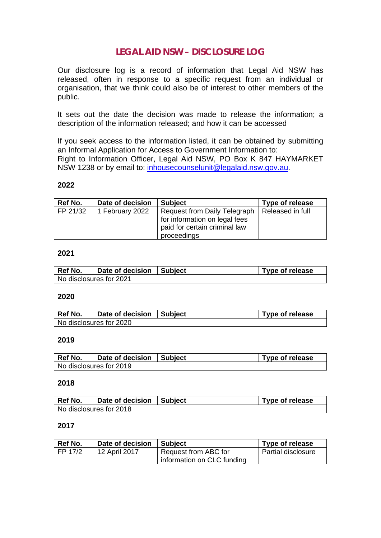## **LEGAL AID NSW – DISCLOSURE LOG**

Our disclosure log is a record of information that Legal Aid NSW has released, often in response to a specific request from an individual or organisation, that we think could also be of interest to other members of the public.

It sets out the date the decision was made to release the information; a description of the information released; and how it can be accessed

If you seek access to the information listed, it can be obtained by submitting an Informal Application for Access to Government Information to: Right to Information Officer, Legal Aid NSW, PO Box K 847 HAYMARKET NSW 1238 or by email to: [inhousecounselunit@legalaid.nsw.gov.au.](mailto:inhousecounselunit@legalaid.nsw.gov.au)

#### **2022**

| Ref No.  | Date of decision | <b>Subject</b>                                                | Type of release  |
|----------|------------------|---------------------------------------------------------------|------------------|
| FP 21/32 | 1 February 2022  | Request from Daily Telegraph<br>for information on legal fees | Released in full |
|          |                  | paid for certain criminal law<br>proceedings                  |                  |

#### **2021**

| Ref No.                 | Date of decision   Subject | Type of release |
|-------------------------|----------------------------|-----------------|
| No disclosures for 2021 |                            |                 |

#### **2020**

| Ref No. | Date of decision        | Subject | Type of release |
|---------|-------------------------|---------|-----------------|
|         | No disclosures for 2020 |         |                 |

### **2019**

| Ref No.                 | Date of decision   Subject | Type of release |
|-------------------------|----------------------------|-----------------|
| No disclosures for 2019 |                            |                 |

#### **2018**

| Ref No. | Date of decision   Subject | <b>Type of release</b> |
|---------|----------------------------|------------------------|
|         | No disclosures for 2018    |                        |

### **2017**

| Ref No. | Date of decision | <b>Subject</b>             | <b>Type of release</b> |
|---------|------------------|----------------------------|------------------------|
| FP 17/2 | 12 April 2017    | Request from ABC for       | Partial disclosure     |
|         |                  | information on CLC funding |                        |